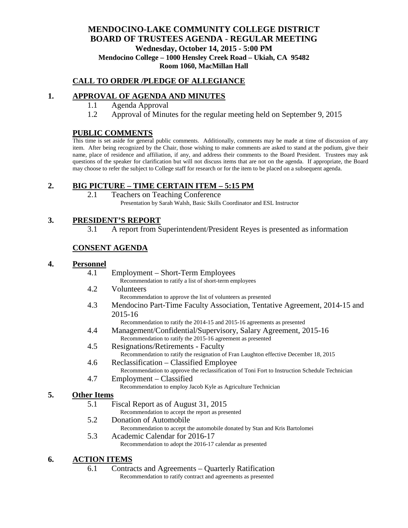## **MENDOCINO-LAKE COMMUNITY COLLEGE DISTRICT BOARD OF TRUSTEES AGENDA** - **REGULAR MEETING Wednesday, October 14, 2015 - 5:00 PM Mendocino College – 1000 Hensley Creek Road – Ukiah, CA 95482 Room 1060, MacMillan Hall**

## **CALL TO ORDER /PLEDGE OF ALLEGIANCE**

## **1. APPROVAL OF AGENDA AND MINUTES**

- 1.1 Agenda Approval
- 1.2 Approval of Minutes for the regular meeting held on September 9, 2015

### **PUBLIC COMMENTS**

This time is set aside for general public comments. Additionally, comments may be made at time of discussion of any item. After being recognized by the Chair, those wishing to make comments are asked to stand at the podium, give their name, place of residence and affiliation, if any, and address their comments to the Board President. Trustees may ask questions of the speaker for clarification but will not discuss items that are not on the agenda. If appropriate, the Board may choose to refer the subject to College staff for research or for the item to be placed on a subsequent agenda.

### **2. BIG PICTURE – TIME CERTAIN ITEM – 5:15 PM**

2.1 Teachers on Teaching Conference Presentation by Sarah Walsh, Basic Skills Coordinator and ESL Instructor

## **3. PRESIDENT'S REPORT**

3.1 A report from Superintendent/President Reyes is presented as information

## **CONSENT AGENDA**

#### **4. Personnel**

- 4.1 Employment Short-Term Employees
	- Recommendation to ratify a list of short-term employees
- 4.2 Volunteers
	- Recommendation to approve the list of volunteers as presented
- 4.3 Mendocino Part-Time Faculty Association, Tentative Agreement, 2014-15 and 2015-16

Recommendation to ratify the 2014-15 and 2015-16 agreements as presented

- 4.4 Management/Confidential/Supervisory, Salary Agreement, 2015-16 Recommendation to ratify the 2015-16 agreement as presented
- 4.5 Resignations/Retirements Faculty Recommendation to ratify the resignation of Fran Laughton effective December 18, 2015
- 4.6 Reclassification Classified Employee Recommendation to approve the reclassification of Toni Fort to Instruction Schedule Technician
- 4.7 Employment Classified
	- Recommendation to employ Jacob Kyle as Agriculture Technician

#### **5. Other Items**

- 5.1 Fiscal Report as of August 31, 2015
	- Recommendation to accept the report as presented
- 5.2 Donation of Automobile
	- Recommendation to accept the automobile donated by Stan and Kris Bartolomei
- 5.3 Academic Calendar for 2016-17 Recommendation to adopt the 2016-17 calendar as presented

#### **6. ACTION ITEMS**

6.1 Contracts and Agreements – Quarterly Ratification Recommendation to ratify contract and agreements as presented